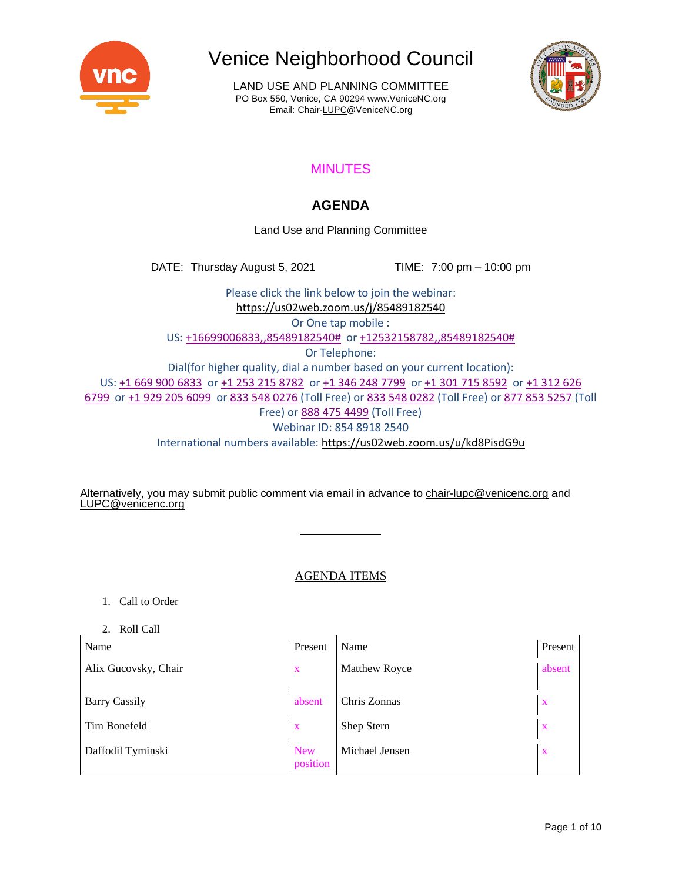

LAND USE AND PLANNING COMMITTEE PO Box 550, Venice, CA 90294 [www.VeniceNC.org](http://www.venicenc.org/) Email: Chai[r-LUPC@VeniceNC.org](mailto:LUPC@VeniceNC.org)



## MINUTES

### **AGENDA**

Land Use and Planning Committee

DATE: Thursday August 5, 2021 TIME: 7:00 pm – 10:00 pm

Please click the link below to join the webinar: <https://us02web.zoom.us/j/85489182540> Or One tap mobile : US: +16699006833,,85489182540# or +12532158782,,85489182540# Or Telephone: Dial(for higher quality, dial a number based on your current location): US: +1 669 900 6833 or +1 253 215 8782 or +1 346 248 7799 or +1 301 715 8592 or +1 312 626 6799 or +1 929 205 6099 or 833 548 0276 (Toll Free) or 833 548 0282 (Toll Free) or 877 853 5257 (Toll Free) or 888 475 4499 (Toll Free) Webinar ID: 854 8918 2540 International numbers available: <https://us02web.zoom.us/u/kd8PisdG9u>

Alternatively, you may submit public comment via email in advance to [chair-lupc@venicenc.org](mailto:chair-lupc@venicenc.org) and [LUPC@venicenc.org](mailto:LUPC@venicenc.org)

### AGENDA ITEMS

- 1. Call to Order
- 2. Roll Call

| Name                 | Present                | Name           | Present      |
|----------------------|------------------------|----------------|--------------|
| Alix Gucovsky, Chair | $\mathbf x$            | Matthew Royce  | absent       |
| <b>Barry Cassily</b> | absent                 | Chris Zonnas   | $\mathbf{x}$ |
| Tim Bonefeld         | $\mathbf{x}$           | Shep Stern     | X            |
| Daffodil Tyminski    | <b>New</b><br>position | Michael Jensen | X            |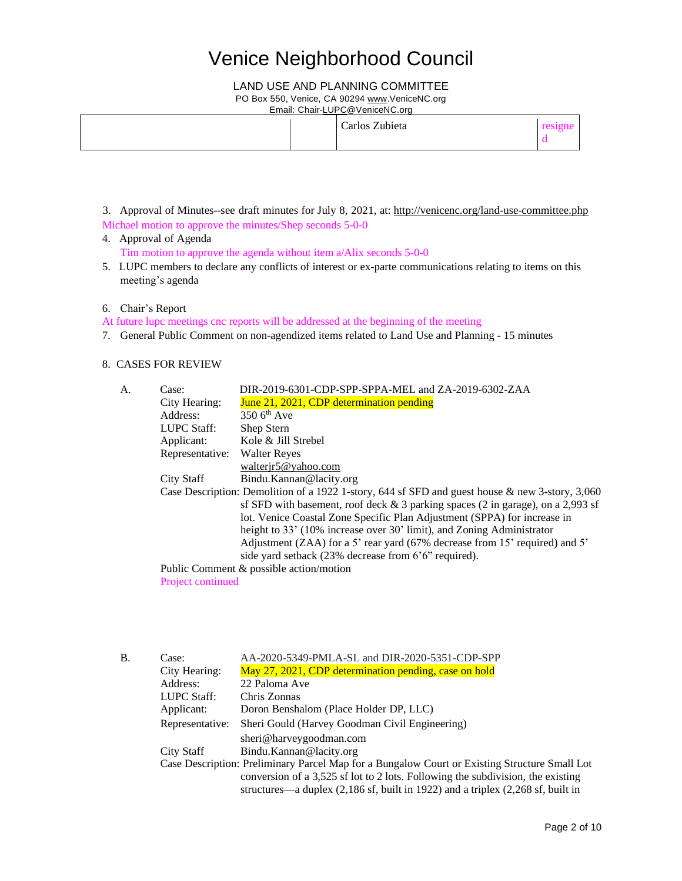### LAND USE AND PLANNING COMMITTEE

PO Box 550, Venice, CA 90294 [www.VeniceNC.org](http://www.venicenc.org/)

Email: Chai[r-LUPC@VeniceNC.org](mailto:LUPC@VeniceNC.org)

|  | Carlos Zubieta |  |
|--|----------------|--|
|--|----------------|--|

- 3. Approval of Minutes--see draft minutes for July 8, 2021, at: <http://venicenc.org/land-use-committee.php> Michael motion to approve the minutes/Shep seconds 5-0-0
- 4. Approval of Agenda Tim motion to approve the agenda without item a/Alix seconds 5-0-0
- 5. LUPC members to declare any conflicts of interest or ex-parte communications relating to items on this meeting's agenda
- 6. Chair's Report

At future lupc meetings cnc reports will be addressed at the beginning of the meeting

7. General Public Comment on non-agendized items related to Land Use and Planning - 15 minutes

### 8. CASES FOR REVIEW

| Case:                        | DIR-2019-6301-CDP-SPP-SPPA-MEL and ZA-2019-6302-ZAA                                                |
|------------------------------|----------------------------------------------------------------------------------------------------|
| City Hearing:                | June 21, 2021, CDP determination pending                                                           |
| Address:                     | $3506^{\text{th}}$ Ave                                                                             |
| LUPC Staff:                  | Shep Stern                                                                                         |
| Applicant:                   | Kole & Jill Strebel                                                                                |
| Representative: Walter Reyes |                                                                                                    |
|                              | walterir5@yahoo.com                                                                                |
| City Staff                   | Bindu.Kannan@lacity.org                                                                            |
|                              | Case Description: Demolition of a 1922 1-story, 644 sf SFD and guest house $\&$ new 3-story, 3,060 |
|                              | sf SFD with basement, roof deck $\&$ 3 parking spaces (2 in garage), on a 2,993 sf                 |
|                              | lot. Venice Coastal Zone Specific Plan Adjustment (SPPA) for increase in                           |
|                              | height to 33' (10% increase over 30' limit), and Zoning Administrator                              |
|                              | Adjustment (ZAA) for a 5' rear yard (67% decrease from 15' required) and 5'                        |
|                              | side yard setback $(23\%$ decrease from 6'6" required).                                            |
|                              | Public Comment & possible action/motion                                                            |
| <b>Project continued</b>     |                                                                                                    |
|                              |                                                                                                    |

| <b>B.</b> | Case:           | AA-2020-5349-PMLA-SL and DIR-2020-5351-CDP-SPP                                                                            |
|-----------|-----------------|---------------------------------------------------------------------------------------------------------------------------|
|           | City Hearing:   | May 27, 2021, CDP determination pending, case on hold                                                                     |
|           | Address:        | 22 Paloma Ave                                                                                                             |
|           | LUPC Staff:     | Chris Zonnas                                                                                                              |
|           | Applicant:      | Doron Benshalom (Place Holder DP, LLC)                                                                                    |
|           | Representative: | Sheri Gould (Harvey Goodman Civil Engineering)                                                                            |
|           |                 | sheri@harveygoodman.com                                                                                                   |
|           | City Staff      | Bindu.Kannan@lacity.org                                                                                                   |
|           |                 | Case Description: Preliminary Parcel Map for a Bungalow Court or Existing Structure Small Lot                             |
|           |                 | conversion of a 3,525 sf lot to 2 lots. Following the subdivision, the existing                                           |
|           |                 | structures—a duplex $(2,186 \text{ sf}, \text{built in } 1922)$ and a triplex $(2,268 \text{ sf}, \text{built in } 1922)$ |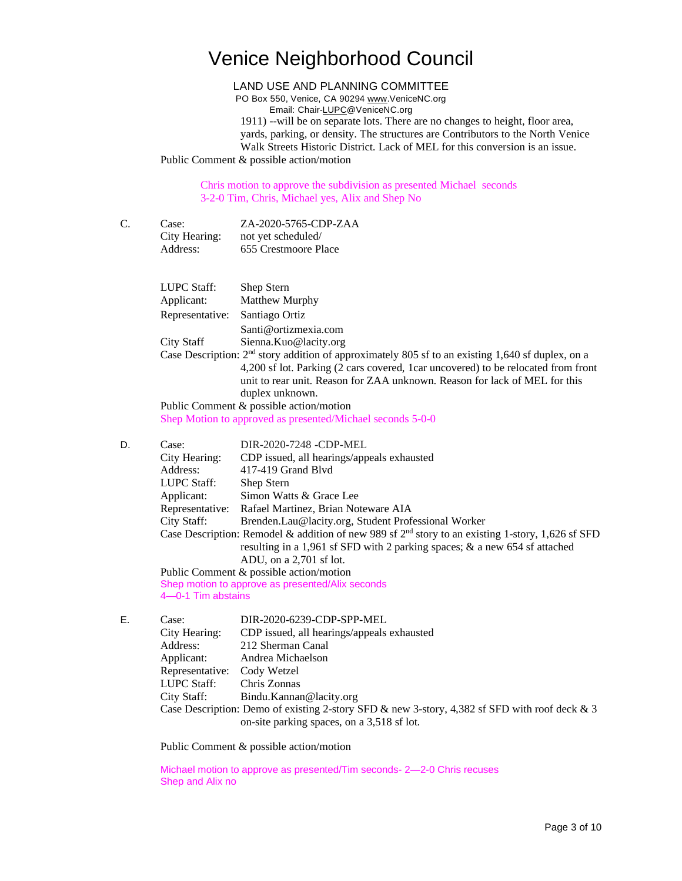LAND USE AND PLANNING COMMITTEE

PO Box 550, Venice, CA 90294 [www.VeniceNC.org](http://www.venicenc.org/) Email: Chai[r-LUPC@VeniceNC.org](mailto:LUPC@VeniceNC.org)

1911) --will be on separate lots. There are no changes to height, floor area, yards, parking, or density. The structures are Contributors to the North Venice Walk Streets Historic District. Lack of MEL for this conversion is an issue. Public Comment & possible action/motion

Chris motion to approve the subdivision as presented Michael seconds 3-2-0 Tim, Chris, Michael yes, Alix and Shep No

C. Case: ZA-2020-5765-CDP-ZAA City Hearing: not yet scheduled/ Address: 655 Crestmoore Place

LUPC Staff: Shep Stern Applicant: Matthew Murphy Representative: Santiago Ortiz Santi@ortizmexia.com City Staff Sienna.Kuo@lacity.org Case Description:  $2<sup>nd</sup>$  story addition of approximately 805 sf to an existing 1,640 sf duplex, on a 4,200 sf lot. Parking (2 cars covered, 1car uncovered) to be relocated from front unit to rear unit. Reason for ZAA unknown. Reason for lack of MEL for this duplex unknown. Public Comment & possible action/motion Shep Motion to approved as presented/Michael seconds 5-0-0 D. Case: DIR-2020-7248 -CDP-MEL City Hearing: CDP issued, all hearings/appeals exhausted Address: 417-419 Grand Blvd LUPC Staff: Shep Stern Applicant: Simon Watts & Grace Lee Representative: Rafael Martinez, Brian Noteware AIA

City Staff: Brenden.Lau@lacity.org, Student Professional Worker

Case Description: Remodel & addition of new 989 sf 2<sup>nd</sup> story to an existing 1-story, 1,626 sf SFD resulting in a 1,961 sf SFD with 2 parking spaces; & a new 654 sf attached ADU, on a 2,701 sf lot.

Public Comment & possible action/motion Shep motion to approve as presented/Alix seconds 4—0-1 Tim abstains

E. Case: DIR-2020-6239-CDP-SPP-MEL City Hearing: CDP issued, all hearings/appeals exhausted Address: 212 Sherman Canal Applicant: Andrea Michaelson Representative: Cody Wetzel LUPC Staff: Chris Zonnas City Staff: Bindu.Kannan@lacity.org Case Description: Demo of existing 2-story SFD & new 3-story, 4,382 sf SFD with roof deck & 3 on-site parking spaces, on a 3,518 sf lot.

Public Comment & possible action/motion

Michael motion to approve as presented/Tim seconds- 2—2-0 Chris recuses Shep and Alix no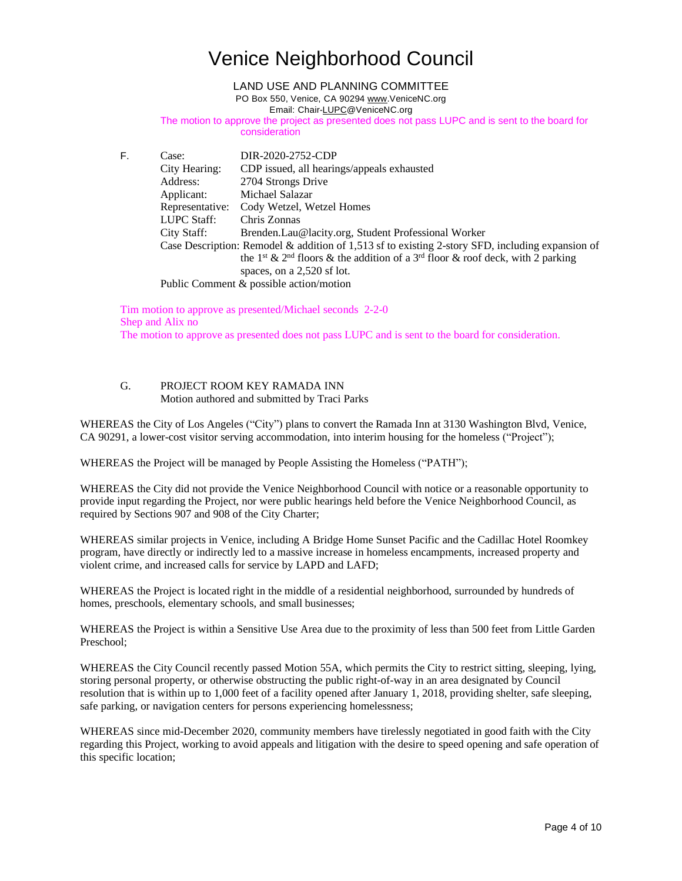### LAND USE AND PLANNING COMMITTEE

PO Box 550, Venice, CA 90294 [www.VeniceNC.org](http://www.venicenc.org/)

Email: Chai[r-LUPC@VeniceNC.org](mailto:LUPC@VeniceNC.org)

The motion to approve the project as presented does not pass LUPC and is sent to the board for consideration

F. Case: DIR-2020-2752-CDP City Hearing: CDP issued, all hearings/appeals exhausted Address: 2704 Strongs Drive Applicant: Michael Salazar Representative: Cody Wetzel, Wetzel Homes LUPC Staff: Chris Zonnas City Staff: Brenden.Lau@lacity.org, Student Professional Worker Case Description: Remodel & addition of 1,513 sf to existing 2-story SFD, including expansion of the 1<sup>st</sup> & 2<sup>nd</sup> floors & the addition of a 3<sup>rd</sup> floor & roof deck, with 2 parking spaces, on a 2,520 sf lot. Public Comment & possible action/motion

Tim motion to approve as presented/Michael seconds 2-2-0 Shep and Alix no The motion to approve as presented does not pass LUPC and is sent to the board for consideration.

### G. PROJECT ROOM KEY RAMADA INN Motion authored and submitted by Traci Parks

WHEREAS the City of Los Angeles ("City") plans to convert the Ramada Inn at 3130 Washington Blvd, Venice, CA 90291, a lower-cost visitor serving accommodation, into interim housing for the homeless ("Project");

WHEREAS the Project will be managed by People Assisting the Homeless ("PATH");

WHEREAS the City did not provide the Venice Neighborhood Council with notice or a reasonable opportunity to provide input regarding the Project, nor were public hearings held before the Venice Neighborhood Council, as required by Sections 907 and 908 of the City Charter;

WHEREAS similar projects in Venice, including A Bridge Home Sunset Pacific and the Cadillac Hotel Roomkey program, have directly or indirectly led to a massive increase in homeless encampments, increased property and violent crime, and increased calls for service by LAPD and LAFD;

WHEREAS the Project is located right in the middle of a residential neighborhood, surrounded by hundreds of homes, preschools, elementary schools, and small businesses;

WHEREAS the Project is within a Sensitive Use Area due to the proximity of less than 500 feet from Little Garden Preschool;

WHEREAS the City Council recently passed Motion 55A, which permits the City to restrict sitting, sleeping, lying, storing personal property, or otherwise obstructing the public right-of-way in an area designated by Council resolution that is within up to 1,000 feet of a facility opened after January 1, 2018, providing shelter, safe sleeping, safe parking, or navigation centers for persons experiencing homelessness;

WHEREAS since mid-December 2020, community members have tirelessly negotiated in good faith with the City regarding this Project, working to avoid appeals and litigation with the desire to speed opening and safe operation of this specific location;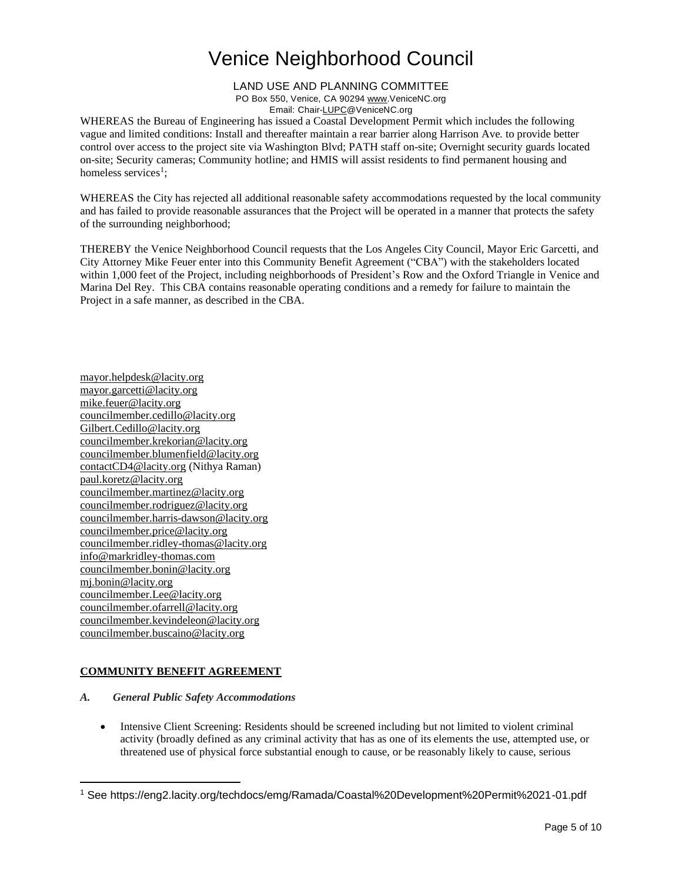LAND USE AND PLANNING COMMITTEE PO Box 550, Venice, CA 90294 [www.VeniceNC.org](http://www.venicenc.org/) Email: Chai[r-LUPC@VeniceNC.org](mailto:LUPC@VeniceNC.org)

WHEREAS the Bureau of Engineering has issued a Coastal Development Permit which includes the following vague and limited conditions: Install and thereafter maintain a rear barrier along Harrison Ave. to provide better control over access to the project site via Washington Blvd; PATH staff on-site; Overnight security guards located on-site; Security cameras; Community hotline; and HMIS will assist residents to find permanent housing and homeless services<sup>1</sup>;

WHEREAS the City has rejected all additional reasonable safety accommodations requested by the local community and has failed to provide reasonable assurances that the Project will be operated in a manner that protects the safety of the surrounding neighborhood;

THEREBY the Venice Neighborhood Council requests that the Los Angeles City Council, Mayor Eric Garcetti, and City Attorney Mike Feuer enter into this Community Benefit Agreement ("CBA") with the stakeholders located within 1,000 feet of the Project, including neighborhoods of President's Row and the Oxford Triangle in Venice and Marina Del Rey. This CBA contains reasonable operating conditions and a remedy for failure to maintain the Project in a safe manner, as described in the CBA.

[mayor.helpdesk@lacity.org](mailto:mayor.helpdesk@lacity.org) [mayor.garcetti@lacity.org](mailto:mayor.garcetti@lacity.org) [mike.feuer@lacity.org](mailto:mike.feuer@lacity.org) [councilmember.cedillo@lacity.org](mailto:councilmember.cedillo@lacity.org) [Gilbert.Cedillo@lacity.org](mailto:Gilbert.Cedillo@lacity.org) [councilmember.krekorian@lacity.org](mailto:councilmember.krekorian@lacity.org) [councilmember.blumenfield@lacity.org](mailto:councilmember.blumenfield@lacity.org) [contactCD4@lacity.org](mailto:contactCD4@lacity.org) (Nithya Raman) [paul.koretz@lacity.org](mailto:paul.koretz@lacity.org) [councilmember.martinez@lacity.org](mailto:councilmember.martinez@lacity.org) [councilmember.rodriguez@lacity.org](mailto:councilmember.rodriguez@lacity.org) [councilmember.harris-dawson@lacity.org](mailto:councilmember.harris-dawson@lacity.org) [councilmember.price@lacity.org](mailto:councilmember.price@lacity.org) [councilmember.ridley-thomas@lacity.org](mailto:councilmember.ridley-thomas@lacity.org) [info@markridley-thomas.com](mailto:info@markridley-thomas.com) [councilmember.bonin@lacity.org](mailto:councilmember.bonin@lacity.org) [mj.bonin@lacity.org](mailto:mj.bonin@lacity.org) [councilmember.Lee@lacity.org](mailto:councilmember.Lee@lacity.org) [councilmember.ofarrell@lacity.org](mailto:councilmember.ofarrell@lacity.org) [councilmember.kevindeleon@lacity.org](mailto:councilmember.kevindeleon@lacity.org) [councilmember.buscaino@lacity.org](mailto:councilmember.buscaino@lacity.org)

### **COMMUNITY BENEFIT AGREEMENT**

- *A. General Public Safety Accommodations*
	- Intensive Client Screening: Residents should be screened including but not limited to violent criminal activity (broadly defined as any criminal activity that has as one of its elements the use, attempted use, or threatened use of physical force substantial enough to cause, or be reasonably likely to cause, serious

<sup>1</sup> See https://eng2.lacity.org/techdocs/emg/Ramada/Coastal%20Development%20Permit%2021-01.pdf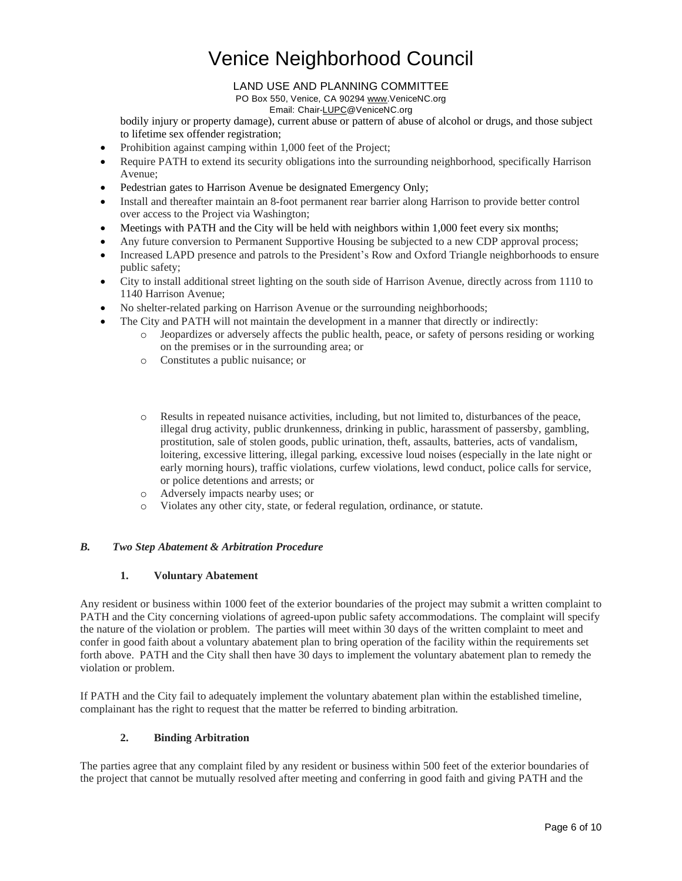### LAND USE AND PLANNING COMMITTEE

PO Box 550, Venice, CA 90294 [www.VeniceNC.org](http://www.venicenc.org/)

Email: Chai[r-LUPC@VeniceNC.org](mailto:LUPC@VeniceNC.org)

bodily injury or property damage), current abuse or pattern of abuse of alcohol or drugs, and those subject to lifetime sex offender registration;

- Prohibition against camping within 1,000 feet of the Project;
- Require PATH to extend its security obligations into the surrounding neighborhood, specifically Harrison Avenue;
- Pedestrian gates to Harrison Avenue be designated Emergency Only;
- Install and thereafter maintain an 8-foot permanent rear barrier along Harrison to provide better control over access to the Project via Washington;
- Meetings with PATH and the City will be held with neighbors within 1,000 feet every six months;
- Any future conversion to Permanent Supportive Housing be subjected to a new CDP approval process;
- Increased LAPD presence and patrols to the President's Row and Oxford Triangle neighborhoods to ensure public safety;
- City to install additional street lighting on the south side of Harrison Avenue, directly across from 1110 to 1140 Harrison Avenue;
- No shelter-related parking on Harrison Avenue or the surrounding neighborhoods;
- The City and PATH will not maintain the development in a manner that directly or indirectly:
	- o Jeopardizes or adversely affects the public health, peace, or safety of persons residing or working on the premises or in the surrounding area; or
	- o Constitutes a public nuisance; or
	- o Results in repeated nuisance activities, including, but not limited to, disturbances of the peace, illegal drug activity, public drunkenness, drinking in public, harassment of passersby, gambling, prostitution, sale of stolen goods, public urination, theft, assaults, batteries, acts of vandalism, loitering, excessive littering, illegal parking, excessive loud noises (especially in the late night or early morning hours), traffic violations, curfew violations, lewd conduct, police calls for service, or police detentions and arrests; or
	- o Adversely impacts nearby uses; or
	- o Violates any other city, state, or federal regulation, ordinance, or statute.

### *B. Two Step Abatement & Arbitration Procedure*

#### **1. Voluntary Abatement**

Any resident or business within 1000 feet of the exterior boundaries of the project may submit a written complaint to PATH and the City concerning violations of agreed-upon public safety accommodations. The complaint will specify the nature of the violation or problem. The parties will meet within 30 days of the written complaint to meet and confer in good faith about a voluntary abatement plan to bring operation of the facility within the requirements set forth above. PATH and the City shall then have 30 days to implement the voluntary abatement plan to remedy the violation or problem.

If PATH and the City fail to adequately implement the voluntary abatement plan within the established timeline, complainant has the right to request that the matter be referred to binding arbitration.

#### **2. Binding Arbitration**

The parties agree that any complaint filed by any resident or business within 500 feet of the exterior boundaries of the project that cannot be mutually resolved after meeting and conferring in good faith and giving PATH and the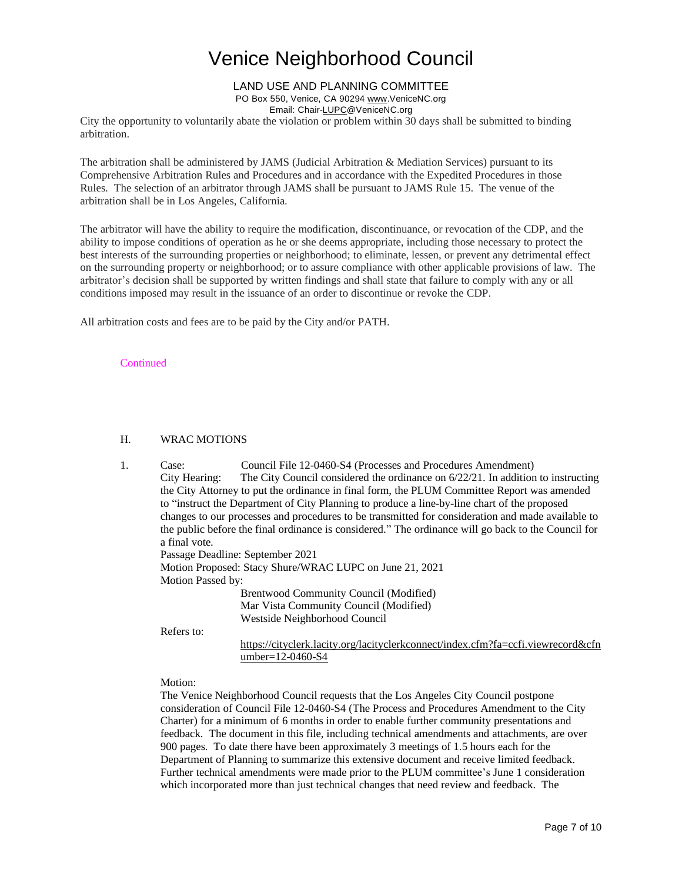### LAND USE AND PLANNING COMMITTEE

PO Box 550, Venice, CA 90294 [www.VeniceNC.org](http://www.venicenc.org/)

Email: Chai[r-LUPC@VeniceNC.org](mailto:LUPC@VeniceNC.org)

City the opportunity to voluntarily abate the violation or problem within 30 days shall be submitted to binding arbitration.

The arbitration shall be administered by JAMS (Judicial Arbitration  $\&$  Mediation Services) pursuant to its Comprehensive Arbitration Rules and Procedures and in accordance with the Expedited Procedures in those Rules. The selection of an arbitrator through JAMS shall be pursuant to JAMS Rule 15. The venue of the arbitration shall be in Los Angeles, California.

The arbitrator will have the ability to require the modification, discontinuance, or revocation of the CDP, and the ability to impose conditions of operation as he or she deems appropriate, including those necessary to protect the best interests of the surrounding properties or neighborhood; to eliminate, lessen, or prevent any detrimental effect on the surrounding property or neighborhood; or to assure compliance with other applicable provisions of law. The arbitrator's decision shall be supported by written findings and shall state that failure to comply with any or all conditions imposed may result in the issuance of an order to discontinue or revoke the CDP.

All arbitration costs and fees are to be paid by the City and/or PATH.

#### **Continued**

### H. WRAC MOTIONS

| 1. | Case:             | Council File 12-0460-S4 (Processes and Procedures Amendment)                                        |  |  |
|----|-------------------|-----------------------------------------------------------------------------------------------------|--|--|
|    | City Hearing:     | The City Council considered the ordinance on $6/22/21$ . In addition to instructing                 |  |  |
|    |                   | the City Attorney to put the ordinance in final form, the PLUM Committee Report was amended         |  |  |
|    |                   | to "instruct the Department of City Planning to produce a line-by-line chart of the proposed        |  |  |
|    |                   | changes to our processes and procedures to be transmitted for consideration and made available to   |  |  |
|    |                   | the public before the final ordinance is considered." The ordinance will go back to the Council for |  |  |
|    | a final vote.     |                                                                                                     |  |  |
|    |                   | Passage Deadline: September 2021                                                                    |  |  |
|    |                   | Motion Proposed: Stacy Shure/WRAC LUPC on June 21, 2021                                             |  |  |
|    | Motion Passed by: |                                                                                                     |  |  |
|    |                   | Brentwood Community Council (Modified)                                                              |  |  |
|    |                   | Mar Vista Community Council (Modified)                                                              |  |  |
|    |                   | Westside Neighborhood Council                                                                       |  |  |
|    | Refers to:        |                                                                                                     |  |  |
|    |                   | https://cityclerk.lacity.org/lacityclerkconnect/index.cfm?fa=ccfi.viewrecord&cfn                    |  |  |
|    |                   | umber= $12-0460-S4$                                                                                 |  |  |

Motion:

The Venice Neighborhood Council requests that the Los Angeles City Council postpone consideration of Council File 12-0460-S4 (The Process and Procedures Amendment to the City Charter) for a minimum of 6 months in order to enable further community presentations and feedback. The document in this file, including technical amendments and attachments, are over 900 pages. To date there have been approximately 3 meetings of 1.5 hours each for the Department of Planning to summarize this extensive document and receive limited feedback. Further technical amendments were made prior to the PLUM committee's June 1 consideration which incorporated more than just technical changes that need review and feedback. The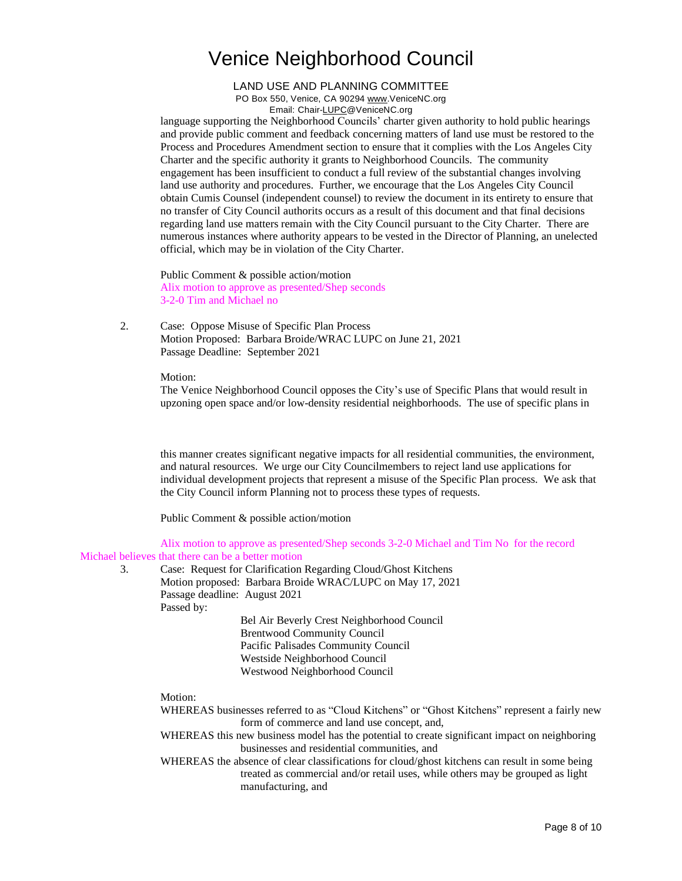LAND USE AND PLANNING COMMITTEE PO Box 550, Venice, CA 90294 [www.VeniceNC.org](http://www.venicenc.org/) Email: Chai[r-LUPC@VeniceNC.org](mailto:LUPC@VeniceNC.org)

language supporting the Neighborhood Councils' charter given authority to hold public hearings and provide public comment and feedback concerning matters of land use must be restored to the Process and Procedures Amendment section to ensure that it complies with the Los Angeles City Charter and the specific authority it grants to Neighborhood Councils. The community engagement has been insufficient to conduct a full review of the substantial changes involving land use authority and procedures. Further, we encourage that the Los Angeles City Council obtain Cumis Counsel (independent counsel) to review the document in its entirety to ensure that no transfer of City Council authorits occurs as a result of this document and that final decisions regarding land use matters remain with the City Council pursuant to the City Charter. There are numerous instances where authority appears to be vested in the Director of Planning, an unelected official, which may be in violation of the City Charter.

Public Comment & possible action/motion Alix motion to approve as presented/Shep seconds 3-2-0 Tim and Michael no

2. Case: Oppose Misuse of Specific Plan Process Motion Proposed: Barbara Broide/WRAC LUPC on June 21, 2021 Passage Deadline: September 2021

Motion:

The Venice Neighborhood Council opposes the City's use of Specific Plans that would result in upzoning open space and/or low-density residential neighborhoods. The use of specific plans in

this manner creates significant negative impacts for all residential communities, the environment, and natural resources. We urge our City Councilmembers to reject land use applications for individual development projects that represent a misuse of the Specific Plan process. We ask that the City Council inform Planning not to process these types of requests.

Public Comment & possible action/motion

Alix motion to approve as presented/Shep seconds 3-2-0 Michael and Tim No for the record Michael believes that there can be a better motion

- - 3. Case: Request for Clarification Regarding Cloud/Ghost Kitchens Motion proposed: Barbara Broide WRAC/LUPC on May 17, 2021 Passage deadline: August 2021 Passed by: Bel Air Beverly Crest Neighborhood Council Brentwood Community Council Pacific Palisades Community Council Westside Neighborhood Council Westwood Neighborhood Council

Motion:

- WHEREAS businesses referred to as "Cloud Kitchens" or "Ghost Kitchens" represent a fairly new form of commerce and land use concept, and,
- WHEREAS this new business model has the potential to create significant impact on neighboring businesses and residential communities, and
- WHEREAS the absence of clear classifications for cloud/ghost kitchens can result in some being treated as commercial and/or retail uses, while others may be grouped as light manufacturing, and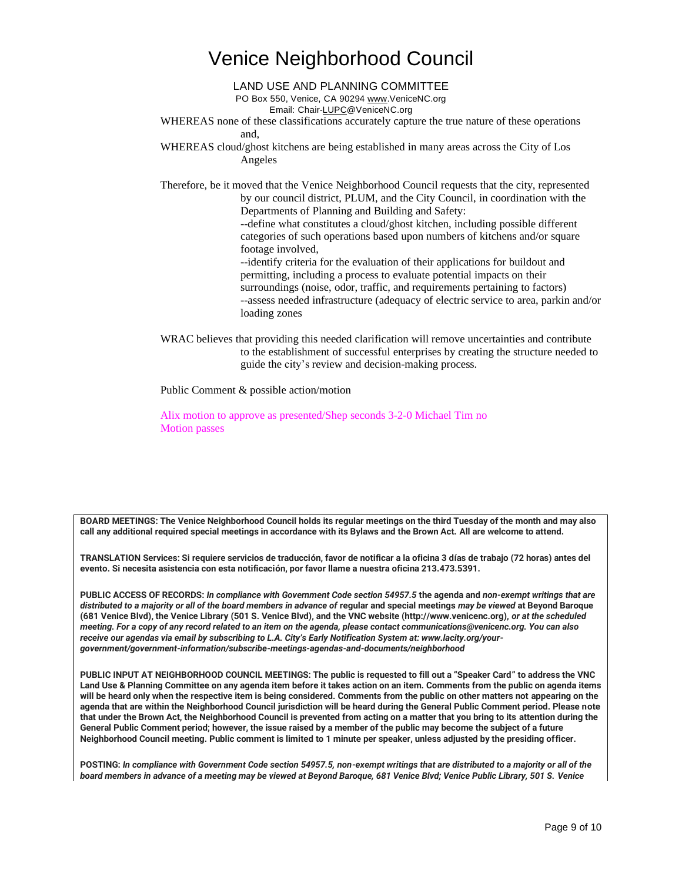LAND USE AND PLANNING COMMITTEE

PO Box 550, Venice, CA 90294 [www.VeniceNC.org](http://www.venicenc.org/)

Email: Chai[r-LUPC@VeniceNC.org](mailto:LUPC@VeniceNC.org)

WHEREAS none of these classifications accurately capture the true nature of these operations and,

WHEREAS cloud/ghost kitchens are being established in many areas across the City of Los Angeles

Therefore, be it moved that the Venice Neighborhood Council requests that the city, represented by our council district, PLUM, and the City Council, in coordination with the Departments of Planning and Building and Safety:

--define what constitutes a cloud/ghost kitchen, including possible different categories of such operations based upon numbers of kitchens and/or square footage involved,

--identify criteria for the evaluation of their applications for buildout and permitting, including a process to evaluate potential impacts on their surroundings (noise, odor, traffic, and requirements pertaining to factors) --assess needed infrastructure (adequacy of electric service to area, parkin and/or loading zones

WRAC believes that providing this needed clarification will remove uncertainties and contribute to the establishment of successful enterprises by creating the structure needed to guide the city's review and decision-making process.

Public Comment & possible action/motion

Alix motion to approve as presented/Shep seconds 3-2-0 Michael Tim no Motion passes

**BOARD MEETINGS: The Venice Neighborhood Council holds its regular meetings on the third Tuesday of the month and may also call any additional required special meetings in accordance with its Bylaws and the Brown Act. All are welcome to attend.** 

**TRANSLATION Services: Si requiere servicios de traducción, favor de notificar a la oficina 3 días de trabajo (72 horas) antes del evento. Si necesita asistencia con esta notificación, por favor llame a nuestra oficina 213.473.5391.** 

**PUBLIC ACCESS OF RECORDS:** *In compliance with Government Code section 54957.5* **the agenda and** *non-exempt writings that are distributed to a majority or all of the board members in advance of* **regular and special meetings** *may be viewed* **at Beyond Baroque (681 Venice Blvd), the Venice Library (501 S. Venice Blvd), and the VNC website (http://www.venicenc.org),** *or at the scheduled meeting. For a copy of any record related to an item on the agenda, please contact communications@venicenc.org. You can also receive our agendas via email by subscribing to L.A. City's Early Notification System at: www.lacity.org/yourgovernment/government-information/subscribe-meetings-agendas-and-documents/neighborhood* 

**PUBLIC INPUT AT NEIGHBORHOOD COUNCIL MEETINGS: The public is requested to fill out a "Speaker Card" to address the VNC Land Use & Planning Committee on any agenda item before it takes action on an item. Comments from the public on agenda items will be heard only when the respective item is being considered. Comments from the public on other matters not appearing on the agenda that are within the Neighborhood Council jurisdiction will be heard during the General Public Comment period. Please note that under the Brown Act, the Neighborhood Council is prevented from acting on a matter that you bring to its attention during the General Public Comment period; however, the issue raised by a member of the public may become the subject of a future Neighborhood Council meeting. Public comment is limited to 1 minute per speaker, unless adjusted by the presiding officer.** 

**POSTING:** *In compliance with Government Code section 54957.5, non-exempt writings that are distributed to a majority or all of the board members in advance of a meeting may be viewed at Beyond Baroque, 681 Venice Blvd; Venice Public Library, 501 S. Venice*